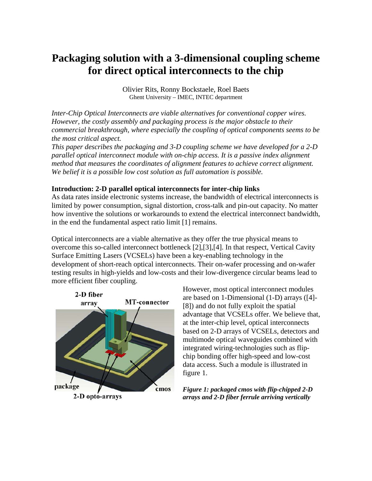# **Packaging solution with a 3-dimensional coupling scheme for direct optical interconnects to the chip**

Olivier Rits, Ronny Bockstaele, Roel Baets Ghent University – IMEC, INTEC department

*Inter-Chip Optical Interconnects are viable alternatives for conventional copper wires. However, the costly assembly and packaging process is the major obstacle to their commercial breakthrough, where especially the coupling of optical components seems to be the most critical aspect.* 

*This paper describes the packaging and 3-D coupling scheme we have developed for a 2-D parallel optical interconnect module with on-chip access. It is a passive index alignment method that measures the coordinates of alignment features to achieve correct alignment. We belief it is a possible low cost solution as full automation is possible.* 

### **Introduction: 2-D parallel optical interconnects for inter-chip links**

As data rates inside electronic systems increase, the bandwidth of electrical interconnects is limited by power consumption, signal distortion, cross-talk and pin-out capacity. No matter how inventive the solutions or workarounds to extend the electrical interconnect bandwidth, in the end the fundamental aspect ratio limit [1] remains.

Optical interconnects are a viable alternative as they offer the true physical means to overcome this so-called interconnect bottleneck [2],[3],[4]. In that respect, Vertical Cavity Surface Emitting Lasers (VCSELs) have been a key-enabling technology in the development of short-reach optical interconnects. Their on-wafer processing and on-wafer testing results in high-yields and low-costs and their low-divergence circular beams lead to more efficient fiber coupling.



However, most optical interconnect modules are based on 1-Dimensional (1-D) arrays ([4]- [8]) and do not fully exploit the spatial advantage that VCSELs offer. We believe that, at the inter-chip level, optical interc onnects based on 2-D arrays of VCSELs, detectors and multimode optical waveguides combined with integrated wiring-technologies such as flipchip bonding offer high-speed and low-cost data access. Such a module is illustrated in figure 1.

*Figure 1: packaged cmos with flip-chipped 2-D arrays and 2-D fiber ferrule arriving vertically*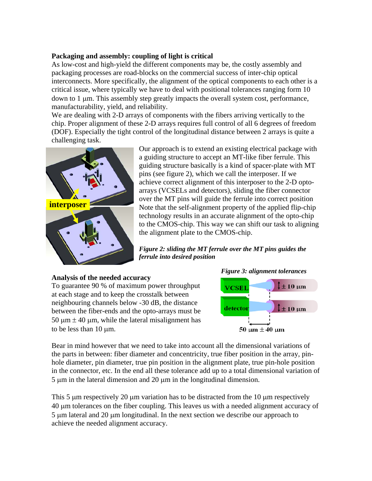## **Packaging and assembly: coupling of light is critical**

As low-cost and high-yield the different components may be, the costly assembly and packaging processes are road-blocks on the commercial success of inter-chip optical interconnects. More specifically, the alignment of the optical components to each other is a critical issue, where typically we have to deal with positional tolerances ranging form 10 down to 1 µm. This assembly step greatly impacts the overall system cost, performance, manufacturability, yield, and reliability.

We are dealing with 2-D arrays of components with the fibers arriving vertically to the chip. Proper alignment of these 2-D arrays requires full control of all 6 degrees of freedom (DOF). Especially the tight control of the longitudinal distance between 2 arrays is quite a challenging task.



Our approach is to extend an existing electrical package with a guiding structure to accept an MT-like fiber ferrule. This guiding structure basically is a kind of spacer-plate with MT pins (see figure 2), which we call the interposer. If we achieve correct alignment of this interposer to the 2-D optoarrays (VCSELs and detectors), sliding the fiber connector **interposer interposer interposer interposer interposer Note that the self-alignment property of the applied flip-chip** technology results in an accurate alignment of the opto-chip to the CMOS-chip. This way we can shift our task to aligning the alignment plate to the CMOS-chip.

> *Figure 2: sliding the MT ferrule over the MT pins guides the ferrule into desired position*

# **Analysis of the needed accuracy**

To guarantee 90 % of maximum power throughput at each stage and to keep the crosstalk between neighbouring channels below -30 dB, the distance between the fiber-ends and the opto-arrays must be 50  $\mu$ m  $\pm$  40  $\mu$ m, while the lateral misalignment has to be less than 10  $\mu$ m.



Bear in mind however that we need to take into account all the dimensional variations of the parts in between: fiber diameter and concentricity, true fiber position in the array, pinhole diameter, pin diameter, true pin position in the alignment plate, true pin-hole position in the connector, etc. In the end all these tolerance add up to a total dimensional variation of  $5 \mu m$  in the lateral dimension and  $20 \mu m$  in the longitudinal dimension.

This 5 µm respectively 20 µm variation has to be distracted from the 10 µm respectively 40 µm tolerances on the fiber coupling. This leaves us with a needed alignment accuracy of 5 µm lateral and 20 µm longitudinal. In the next section we describe our approach to achieve the needed alignment accuracy.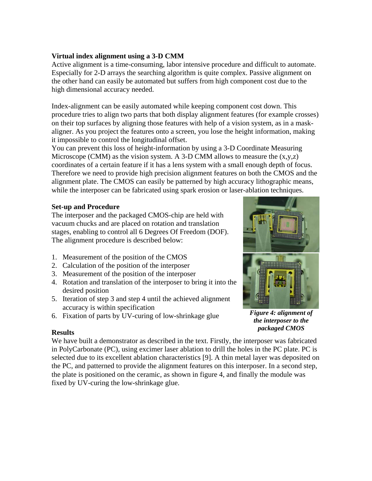# **Virtual index alignment using a 3-D CMM**

Active alignment is a time-consuming, labor intensive procedure and difficult to automate. Especially for 2-D arrays the searching algorithm is quite complex. Passive alignment on the other hand can easily be automated but suffers from high component cost due to the high dimensional accuracy needed.

Index-alignment can be easily automated while keeping component cost down. This procedure tries to align two parts that both display alignment features (for example crosses) on their top surfaces by aligning those features with help of a vision system, as in a maskaligner. As you project the features onto a screen, you lose the height information, making it impossible to control the longitudinal offset.

You can prevent this loss of height-information by using a 3-D Coordinate Measuring Microscope (CMM) as the vision system. A 3-D CMM allows to measure the  $(x,y,z)$ coordinates of a certain feature if it has a lens system with a small enough depth of focus. Therefore we need to provide high precision alignment features on both the CMOS and the alignment plate. The CMOS can easily be patterned by high accuracy lithographic means, while the interposer can be fabricated using spark erosion or laser-ablation techniques.

# **Set-up and Procedure**

The interposer and the packaged CMOS-chip are held with vacuum chucks and are placed on rotation and translation stages, enabling to control all 6 Degrees Of Freedom (DOF). The alignment procedure is described below:

- 1. Measurement of the position of the CMOS
- 2. Calculation of the position of the interposer
- 3. Measurement of the position of the interposer
- 4. Rotation and translation of the interposer to bring it into the desired position
- 5. Iteration of step 3 and step 4 until the achieved alignment accuracy is within specification
- 6. Fixation of parts by UV-curing of low-shrinkage glue

*Figure 4: alignment of the interposer to the packaged CMOS*

### **Results**

We have built a demonstrator as described in the text. Firstly, the interposer was fabricated in PolyCarbonate (PC), using excimer laser ablation to drill the holes in the PC plate. PC is selected due to its excellent ablation characteristics [9]. A thin metal layer was deposited on the PC, and patterned to provide the alignment features on this interposer. In a second step, the plate is positioned on the ceramic, as shown in figure 4, and finally the module was fixed by UV-curing the low-shrinkage glue.